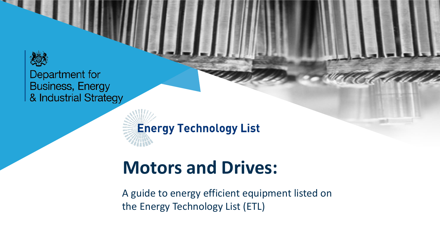

**Energy Technology List** 

# **Motors and Drives:**

A guide to energy efficient equipment listed on the Energy Technology List (ETL)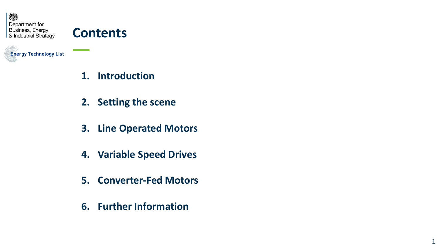

# **Contents**

**Energy Technology List** 

- **1. Introduction**
- **2. Setting the scene**
- **3. Line Operated Motors**
- **4. Variable Speed Drives**
- **5. Converter-Fed Motors**
- **6. Further Information**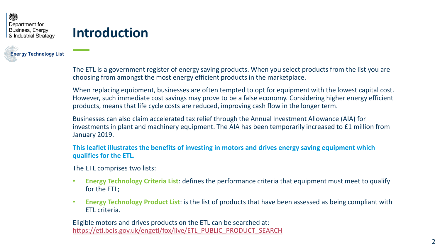**Eneray Technology List** 

# **Introduction**

The ETL is a government register of energy saving products. When you select products from the list you are choosing from amongst the most energy efficient products in the marketplace.

When replacing equipment, businesses are often tempted to opt for equipment with the lowest capital cost. However, such immediate cost savings may prove to be a false economy. Considering higher energy efficient products, means that life cycle costs are reduced, improving cash flow in the longer term.

Businesses can also claim accelerated tax relief through the Annual Investment Allowance (AIA) for investments in plant and machinery equipment. The AIA has been temporarily increased to £1 million from January 2019.

**This leaflet illustrates the benefits of investing in motors and drives energy saving equipment which qualifies for the ETL.** 

The ETL comprises two lists:

- **Energy Technology Criteria List**: defines the performance criteria that equipment must meet to qualify for the ETL;
- **Energy Technology Product List**: is the list of products that have been assessed as being compliant with ETL criteria.

Eligible motors and drives products on the ETL can be searched at: [https://etl.beis.gov.uk/engetl/fox/live/ETL\\_PUBLIC\\_PRODUCT\\_SEARCH](https://etl.beis.gov.uk/engetl/fox/live/ETL_PUBLIC_PRODUCT_SEARCH)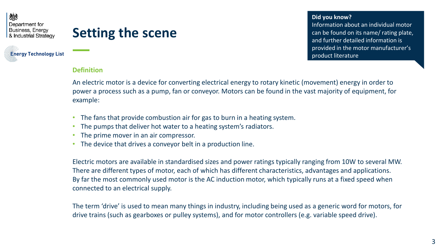# **Setting the scene**

**Enerav Technology List** 

**Did you know?** 

Information about an individual motor can be found on its name/ rating plate, and further detailed information is provided in the motor manufacturer's product literature

#### **Definition**

An electric motor is a device for converting electrical energy to rotary kinetic (movement) energy in order to power a process such as a pump, fan or conveyor. Motors can be found in the vast majority of equipment, for example:

- The fans that provide combustion air for gas to burn in a heating system.
- The pumps that deliver hot water to a heating system's radiators.
- The prime mover in an air compressor.
- The device that drives a convevor belt in a production line.

Electric motors are available in standardised sizes and power ratings typically ranging from 10W to several MW. There are different types of motor, each of which has different characteristics, advantages and applications. By far the most commonly used motor is the AC induction motor, which typically runs at a fixed speed when connected to an electrical supply.

The term 'drive' is used to mean many things in industry, including being used as a generic word for motors, for drive trains (such as gearboxes or pulley systems), and for motor controllers (e.g. variable speed drive).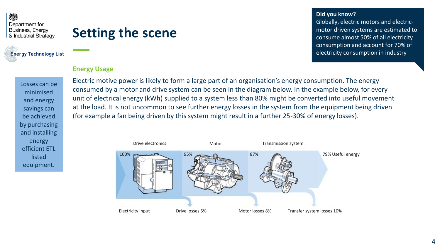# **Setting the scene**

### **Eneray Technology List**

### **Energy Usage**

Losses can be minimised and energy savings can be achieved by purchasing and installing energy efficient ETL listed equipment.

Electric motive power is likely to form a large part of an organisation's energy consumption. The energy consumed by a motor and drive system can be seen in the diagram below. In the example below, for every unit of electrical energy (kWh) supplied to a system less than 80% might be converted into useful movement at the load. It is not uncommon to see further energy losses in the system from the equipment being driven (for example a fan being driven by this system might result in a further 25-30% of energy losses).



#### **Did you know?**

Globally, electric motors and electricmotor driven systems are estimated to consume almost 50% of all electricity consumption and account for 70% of electricity consumption in industry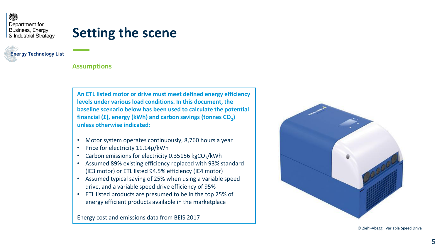# **Setting the scene**

**Eneray Technology List** 

#### **Assumptions**

**An ETL listed motor or drive must meet defined energy efficiency levels under various load conditions. In this document, the baseline scenario below has been used to calculate the potential financial (£), energy (kWh) and carbon savings (tonnes CO<sup>2</sup> ) unless otherwise indicated:**

- Motor system operates continuously, 8,760 hours a year
- Price for electricity 11.14p/kWh
- Carbon emissions for electricity 0.35156 kgCO<sub>2</sub>/kWh
- Assumed 89% existing efficiency replaced with 93% standard (IE3 motor) or ETL listed 94.5% efficiency (IE4 motor)
- Assumed typical saving of 25% when using a variable speed drive, and a variable speed drive efficiency of 95%
- ETL listed products are presumed to be in the top 25% of energy efficient products available in the marketplace

Energy cost and emissions data from BEIS 2017



© Ziehl-Abegg Variable Speed Drive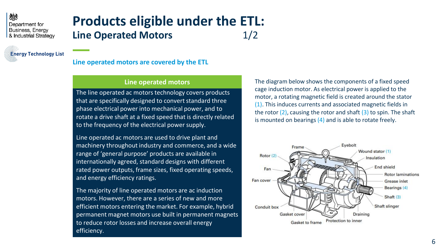### **Products eligible under the ETL: Line Operated Motors** 1/2

**Eneray Technology List** 

### **Line operated motors are covered by the ETL**

#### **Line operated motors**

The line operated ac motors technology covers products that are specifically designed to convert standard three phase electrical power into mechanical power, and to rotate a drive shaft at a fixed speed that is directly related to the frequency of the electrical power supply.

Line operated ac motors are used to drive plant and machinery throughout industry and commerce, and a wide range of 'general purpose' products are available in internationally agreed, standard designs with different rated power outputs, frame sizes, fixed operating speeds, and energy efficiency ratings.

The majority of line operated motors are ac induction motors. However, there are a series of new and more efficient motors entering the market. For example, hybrid permanent magnet motors use built in permanent magnets to reduce rotor losses and increase overall energy efficiency.

The diagram below shows the components of a fixed speed cage induction motor. As electrical power is applied to the motor, a rotating magnetic field is created around the stator (1). This induces currents and associated magnetic fields in the rotor  $(2)$ , causing the rotor and shaft  $(3)$  to spin. The shaft is mounted on bearings  $(4)$  and is able to rotate freely.

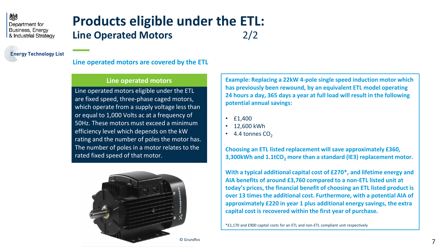### **Products eligible under the ETL: Line Operated Motors** 2/2

**Eneray Technology List** 

#### **Line operated motors are covered by the ETL**

#### **Line operated motors**

Line operated motors eligible under the ETL are fixed speed, three-phase caged motors, which operate from a supply voltage less than or equal to 1,000 Volts ac at a frequency of 50Hz. These motors must exceed a minimum efficiency level which depends on the kW rating and the number of poles the motor has. The number of poles in a motor relates to the rated fixed speed of that motor.



**Example: Replacing a 22kW 4-pole single speed induction motor which has previously been rewound, by an equivalent ETL model operating 24 hours a day, 365 days a year at full load will result in the following potential annual savings:**

- £1,400
- 12,600 kWh
- 4.4 tonnes  $CO<sub>2</sub>$

**Choosing an ETL listed replacement will save approximately £360, 3,300kWh and 1.1tCO<sup>2</sup> more than a standard (IE3) replacement motor.**

**With a typical additional capital cost of £270\*, and lifetime energy and AIA benefits of around £3,760 compared to a non-ETL listed unit at today's prices, the financial benefit of choosing an ETL listed product is over 13 times the additional cost. Furthermore, with a potential AIA of approximately £220 in year 1 plus additional energy savings, the extra capital cost is recovered within the first year of purchase.**

\*£1,170 and £900 capital costs for an ETL and non-ETL compliant unit respectively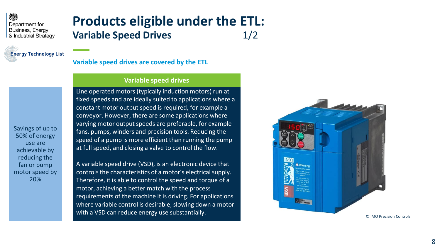

Savings of up to 50% of energy use are achievable by reducing the fan or pump motor speed by 20%

## **Products eligible under the ETL: Variable Speed Drives** 1/2

**Variable speed drives are covered by the ETL**

#### **Variable speed drives**

Line operated motors (typically induction motors) run at fixed speeds and are ideally suited to applications where a constant motor output speed is required, for example a conveyor. However, there are some applications where varying motor output speeds are preferable, for example fans, pumps, winders and precision tools. Reducing the speed of a pump is more efficient than running the pump at full speed, and closing a valve to control the flow.

A variable speed drive (VSD), is an electronic device that controls the characteristics of a motor's electrical supply. Therefore, it is able to control the speed and torque of a motor, achieving a better match with the process requirements of the machine it is driving. For applications where variable control is desirable, slowing down a motor with a VSD can reduce energy use substantially.

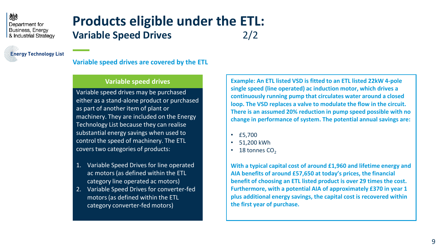# **Products eligible under the ETL: Variable Speed Drives** 2/2

**Eneray Technology List** 

**Variable speed drives are covered by the ETL**

#### **Variable speed drives**

Variable speed drives may be purchased either as a stand-alone product or purchased as part of another item of plant or machinery. They are included on the Energy Technology List because they can realise substantial energy savings when used to control the speed of machinery. The ETL covers two categories of products:

- 1. Variable Speed Drives for line operated ac motors (as defined within the ETL category line operated ac motors)
- 2. Variable Speed Drives for converter-fed motors (as defined within the ETL category converter-fed motors)

**Example: An ETL listed VSD is fitted to an ETL listed 22kW 4-pole single speed (line operated) ac induction motor, which drives a continuously running pump that circulates water around a closed loop. The VSD replaces a valve to modulate the flow in the circuit. There is an assumed 20% reduction in pump speed possible with no change in performance of system. The potential annual savings are:**

- £5,700
- 51,200 kWh
- $\cdot$  18 tonnes CO<sub>2</sub>

**With a typical capital cost of around £1,960 and lifetime energy and AIA benefits of around £57,650 at today's prices, the financial benefit of choosing an ETL listed product is over 29 times the cost. Furthermore, with a potential AIA of approximately £370 in year 1 plus additional energy savings, the capital cost is recovered within the first year of purchase.**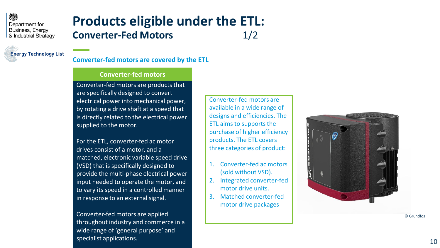

**Eneray Technology List** 

### **Converter -fed motors are covered by the ETL**

#### **Converter -fed motors**

Converter -fed motors are products that are specifically designed to convert electrical power into mechanical power, by rotating a drive shaft at a speed that is directly related to the electrical power supplied to the motor.

For the ETL, converter -fed ac motor drives consist of a motor, and a matched, electronic variable speed drive (VSD) that is specifically designed to provide the multi -phase electrical power input needed to operate the motor, and to vary its speed in a controlled manner in response to an external signal.

Converter -fed motors are applied throughout industry and commerce in a wide range of 'general purpose' and specialist applications.

Converter -fed motors are available in a wide range of designs and efficiencies. The ETL aims to supports the purchase of higher efficiency products. The ETL covers three categories of product:

- 1. Converter -fed ac motors (sold without VSD).
- 2. Integrated converter -fed motor drive units.
- 3. Matched converter -fed motor drive packages



© Grundfos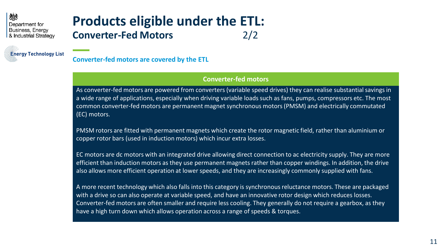

# **Products eligible under the ETL: Converter-Fed Motors** 2/2

**Converter-fed motors are covered by the ETL**

#### **Converter-fed motors**

As converter-fed motors are powered from converters (variable speed drives) they can realise substantial savings in a wide range of applications, especially when driving variable loads such as fans, pumps, compressors etc. The most common converter-fed motors are permanent magnet synchronous motors (PMSM) and electrically commutated (EC) motors.

PMSM rotors are fitted with permanent magnets which create the rotor magnetic field, rather than aluminium or copper rotor bars (used in induction motors) which incur extra losses.

EC motors are dc motors with an integrated drive allowing direct connection to ac electricity supply. They are more efficient than induction motors as they use permanent magnets rather than copper windings. In addition, the drive also allows more efficient operation at lower speeds, and they are increasingly commonly supplied with fans.

A more recent technology which also falls into this category is synchronous reluctance motors. These are packaged with a drive so can also operate at variable speed, and have an innovative rotor design which reduces losses. Converter-fed motors are often smaller and require less cooling. They generally do not require a gearbox, as they have a high turn down which allows operation across a range of speeds & torques.